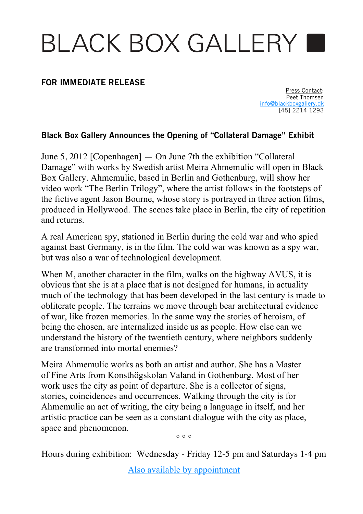## BLACK BOX GALLERY

## **FOR IMMEDIATE RELEASE**

Press Contact: Peet Thomsen info@blackboxgallery.dk [45] 2214 1293

## **Black Box Gallery Announces the Opening of "Collateral Damage" Exhibit**

June 5, 2012 [Copenhagen] — On June 7th the exhibition "Collateral Damage" with works by Swedish artist Meira Ahmemulic will open in Black Box Gallery. Ahmemulic, based in Berlin and Gothenburg, will show her video work "The Berlin Trilogy", where the artist follows in the footsteps of the fictive agent Jason Bourne, whose story is portrayed in three action films, produced in Hollywood. The scenes take place in Berlin, the city of repetition and returns.

A real American spy, stationed in Berlin during the cold war and who spied against East Germany, is in the film. The cold war was known as a spy war, but was also a war of technological development.

When M, another character in the film, walks on the highway AVUS, it is obvious that she is at a place that is not designed for humans, in actuality much of the technology that has been developed in the last century is made to obliterate people. The terrains we move through bear architectural evidence of war, like frozen memories. In the same way the stories of heroism, of being the chosen, are internalized inside us as people. How else can we understand the history of the twentieth century, where neighbors suddenly are transformed into mortal enemies?

Meira Ahmemulic works as both an artist and author. She has a Master of Fine Arts from Konsthögskolan Valand in Gothenburg. Most of her work uses the city as point of departure. She is a collector of signs, stories, coincidences and occurrences. Walking through the city is for Ahmemulic an act of writing, the city being a language in itself, and her artistic practice can be seen as a constant dialogue with the city as place, space and phenomenon.

 $\circ$   $\circ$   $\circ$ 

Hours during exhibition: Wednesday - Friday 12-5 pm and Saturdays 1-4 pm

Also available by appointment